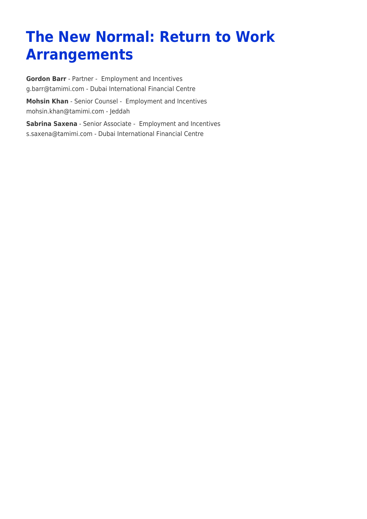# **The New Normal: Return to Work Arrangements**

**[Gordon Barr](https://www.tamimi.com/find-a-lawyer/gordon-barr/)** - Partner - [Employment and Incentives](https://www.tamimi.com/client-services/practices/employment-incentives/) [g.barr@tamimi.com](mailto:g.barr@tamimi.com) - [Dubai International Financial Centre](https://www.tamimi.com/locations/uae/) **[Mohsin Khan](https://www.tamimi.com/find-a-lawyer/mohsin-khan/)** - Senior Counsel - [Employment and Incentives](https://www.tamimi.com/client-services/practices/employment-incentives/) [mohsin.khan@tamimi.com](mailto:mohsin.khan@tamimi.com) - [Jeddah](https://www.tamimi.com/locations/saudi-arabia/) **[Sabrina Saxena](https://www.tamimi.com/find-a-lawyer/sabrina-saxena/)** - Senior Associate - [Employment and Incentives](https://www.tamimi.com/client-services/practices/employment-incentives/)

[s.saxena@tamimi.com](mailto:s.saxena@tamimi.com) - [Dubai International Financial Centre](https://www.tamimi.com/locations/uae/)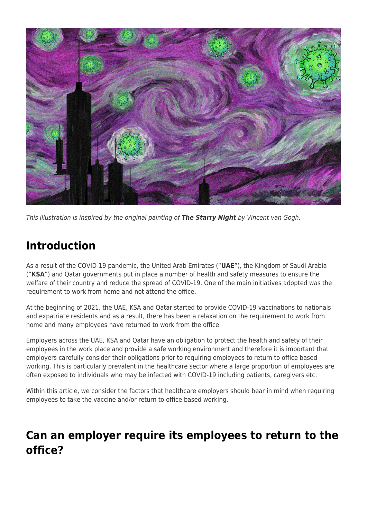

This illustration is inspired by the original painting of *The Starry Night* by Vincent van Gogh.

### **Introduction**

As a result of the COVID-19 pandemic, the United Arab Emirates ("**UAE**"), the Kingdom of Saudi Arabia ("**KSA**") and Qatar governments put in place a number of health and safety measures to ensure the welfare of their country and reduce the spread of COVID-19. One of the main initiatives adopted was the requirement to work from home and not attend the office.

At the beginning of 2021, the UAE, KSA and Qatar started to provide COVID-19 vaccinations to nationals and expatriate residents and as a result, there has been a relaxation on the requirement to work from home and many employees have returned to work from the office.

Employers across the UAE, KSA and Qatar have an obligation to protect the health and safety of their employees in the work place and provide a safe working environment and therefore it is important that employers carefully consider their obligations prior to requiring employees to return to office based working. This is particularly prevalent in the healthcare sector where a large proportion of employees are often exposed to individuals who may be infected with COVID-19 including patients, caregivers etc.

Within this article, we consider the factors that healthcare employers should bear in mind when requiring employees to take the vaccine and/or return to office based working.

### **Can an employer require its employees to return to the office?**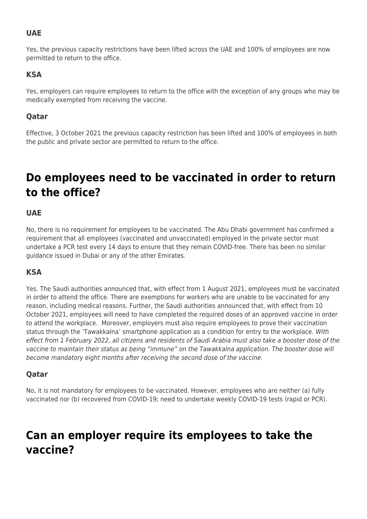### **UAE**

Yes, the previous capacity restrictions have been lifted across the UAE and 100% of employees are now permitted to return to the office.

#### **KSA**

Yes, employers can require employees to return to the office with the exception of any groups who may be medically exempted from receiving the vaccine.

#### **Qatar**

Effective, 3 October 2021 the previous capacity restriction has been lifted and 100% of employees in both the public and private sector are permitted to return to the office.

# **Do employees need to be vaccinated in order to return to the office?**

### **UAE**

No, there is no requirement for employees to be vaccinated. The Abu Dhabi government has confirmed a requirement that all employees (vaccinated and unvaccinated) employed in the private sector must undertake a PCR test every 14 days to ensure that they remain COVID-free. There has been no similar guidance issued in Dubai or any of the other Emirates.

### **KSA**

Yes. The Saudi authorities announced that, with effect from 1 August 2021, employees must be vaccinated in order to attend the office. There are exemptions for workers who are unable to be vaccinated for any reason, including medical reasons. Further, the Saudi authorities announced that, with effect from 10 October 2021, employees will need to have completed the required doses of an approved vaccine in order to attend the workplace. Moreover, employers must also require employees to prove their vaccination status through the 'Tawakkalna' smartphone application as a condition for entry to the workplace. With effect from 1 February 2022, all citizens and residents of Saudi Arabia must also take a booster dose of the vaccine to maintain their status as being "immune" on the Tawakkalna application. The booster dose will become mandatory eight months after receiving the second dose of the vaccine.

#### **Qatar**

No, it is not mandatory for employees to be vaccinated. However, employees who are neither (a) fully vaccinated nor (b) recovered from COVID-19; need to undertake weekly COVID-19 tests (rapid or PCR).

# **Can an employer require its employees to take the vaccine?**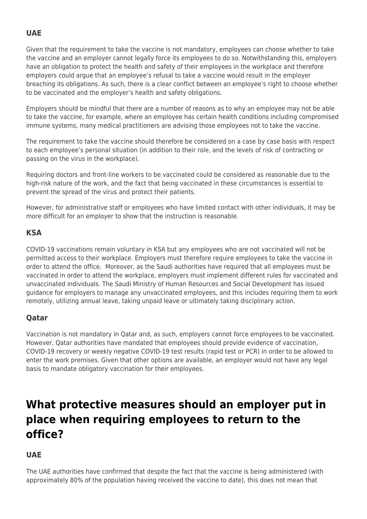### **UAE**

Given that the requirement to take the vaccine is not mandatory, employees can choose whether to take the vaccine and an employer cannot legally force its employees to do so. Notwithstanding this, employers have an obligation to protect the health and safety of their employees in the workplace and therefore employers could argue that an employee's refusal to take a vaccine would result in the employer breaching its obligations. As such, there is a clear conflict between an employee's right to choose whether to be vaccinated and the employer's health and safety obligations.

Employers should be mindful that there are a number of reasons as to why an employee may not be able to take the vaccine, for example, where an employee has certain health conditions including compromised immune systems, many medical practitioners are advising those employees not to take the vaccine.

The requirement to take the vaccine should therefore be considered on a case by case basis with respect to each employee's personal situation (in addition to their role, and the levels of risk of contracting or passing on the virus in the workplace).

Requiring doctors and front-line workers to be vaccinated could be considered as reasonable due to the high-risk nature of the work, and the fact that being vaccinated in these circumstances is essential to prevent the spread of the virus and protect their patients.

However, for administrative staff or employees who have limited contact with other individuals, it may be more difficult for an employer to show that the instruction is reasonable.

### **KSA**

COVID-19 vaccinations remain voluntary in KSA but any employees who are not vaccinated will not be permitted access to their workplace. Employers must therefore require employees to take the vaccine in order to attend the office. Moreover, as the Saudi authorities have required that all employees must be vaccinated in order to attend the workplace, employers must implement different rules for vaccinated and unvaccinated individuals. The Saudi Ministry of Human Resources and Social Development has issued guidance for employers to manage any unvaccinated employees, and this includes requiring them to work remotely, utilizing annual leave, taking unpaid leave or ultimately taking disciplinary action.

### **Qatar**

Vaccination is not mandatory in Qatar and, as such, employers cannot force employees to be vaccinated. However, Qatar authorities have mandated that employees should provide evidence of vaccination, COVID-19 recovery or weekly negative COVID-19 test results (rapid test or PCR) in order to be allowed to enter the work premises. Given that other options are available, an employer would not have any legal basis to mandate obligatory vaccination for their employees.

# **What protective measures should an employer put in place when requiring employees to return to the office?**

### **UAE**

The UAE authorities have confirmed that despite the fact that the vaccine is being administered (with approximately 80% of the population having received the vaccine to date), this does not mean that